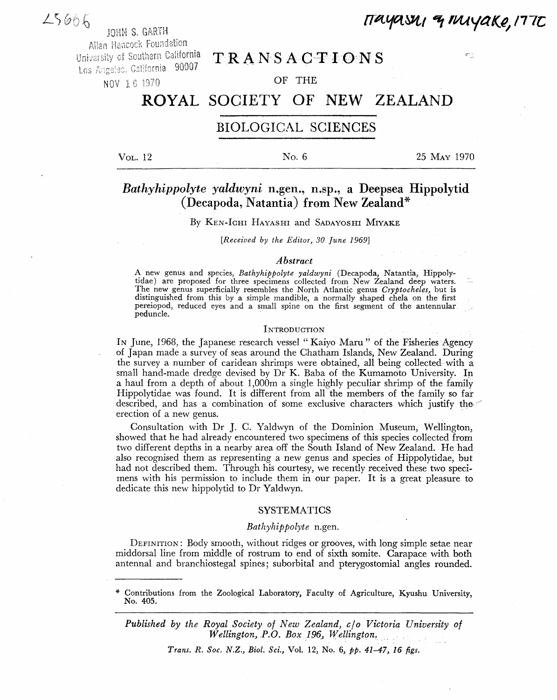# $25666$

JOHN S. GARTH

Allan Hancock Foundation<br>University of Southern California Los Angeles, California 90007 NOV 1 6 1970 **OF THE** 

TRANSACTIONS

# ROYAL SOCIETY OF NEW ZEALAND

## BIOLOGICAL SCIENCES

Vol. 12 No. 6 25 May 1970

*imtfiwt \*t rvuyaite, mc* 

 $\sigma\gamma$ 

# *Bathyhippolyte yaldwyni* **n.gen., n.sp., a Deepsea Hippolytid (Decapoda, Natantia) from New Zealand\***

## By KEN-IGHI HAYASHI and SADAYOSHI MIYAKE

*[Received by the Editor, 30 June 1969]* 

#### *Abstract*

A new genus and species, *Bathyhippolyte yaldwyni* (Decapoda, Natantia, Hippolytidae) are proposed for three specimens collected from New Zealand deep waters. The new genus superficially resembles the North Atlantic genus *Cryptocheles,* but is distinguished from this by a simple mandible, a normally shaped chela on the first pereiopod, reduced eyes and a small spine on the first segment of the antennular. peduncle.

#### **INTRODUCTION**

In June, 1968, the Japanese research vessel "Kaiyo Maru" of the Fisheries Agency of Japan made a survey of seas around the Chatham Islands, New Zealand. During the survey a number of caridean shrimps were obtained, all being collected with a small hand-made dredge devised by Dr K. Baba of the Kumamoto University. In a haul from a depth of about 1,000m a single highly peculiar shrimp of the family Hippolytidae was found. It is different from all the members of the family so far described, and has a combination of some exclusive characters which justify the erection of a new genus.

Consultation with Dr J. C. Yaldwyn of the Dominion Museum, Wellington, showed that he had already encountered two specimens of this species collected from two different depths in a nearby area off the South Island of New Zealand. He had also recognised them as representing a new genus and species of Hippolytidae, but had not described them. Through his courtesy, we recently received these two specimens with his permission to include them in our paper. It is a great pleasure to dedicate this new hippolytid to Dr Yaldwyn.

#### SYSTEMATICS

#### *Bathyhippolyte* n.gen.

DEFINITION: Body smooth, without ridges or grooves, with long simple setae near middorsal line from middle of rostrum to end of sixth somite. Carapace with both antennal and branchiostegal spines; suborbital and pterygostomial angles rounded.

*Published by the Royal Society of New Zealand, c/o Victoria University of Wellington, P.O. Box 196, Wellington.* 

*Trans. R. Soc. N.Z., Biol. Set.,* Vol. 12, No. 6, *pp. 41-47, 16 figs.* 

Contributions from the Zoological Laboratory, Faculty of Agriculture, Kyushu University, No. 405.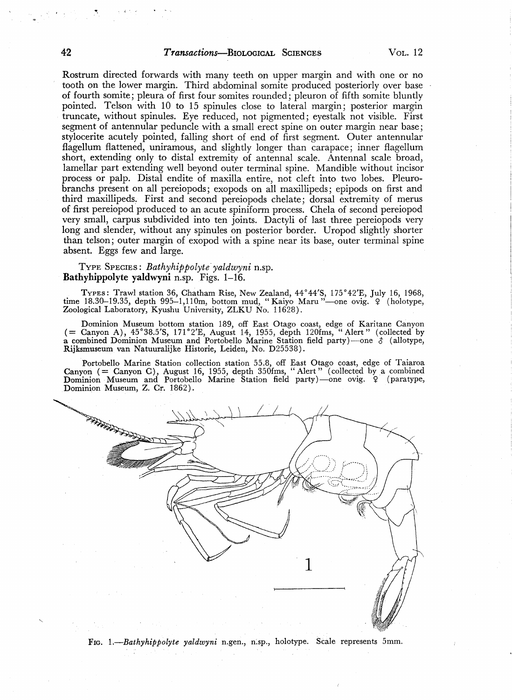### 42 *Transactions*—BIOLOGICAL SCIENCES VOL. 12

Rostrum directed forwards with many teeth on upper margin and with one or no tooth on the lower margin. Third abdominal somite produced posteriorly over base of fourth somite; pleura of first four somites rounded; pleuron of fifth somite bluntly pointed. Telson with 10 to 15 spinules close to lateral margin; posterior margin truncate, without spinules. Eye reduced, not pigmented; eyestalk not visible. First segment of antennular peduncle with a small erect spine on outer margin near base; stylocerite acutely pointed, falling short of end of first segment. Outer antennular flagellum flattened, uniramous, and slightly longer than carapace; inner flagellum short, extending only to distal extremity of antennal scale. Antennal scale broad, lamellar part extending well beyond outer terminal spine. Mandible without incisor process or palp. Distal endite of maxilla entire, not cleft into two lobes. Pleurobranchs present on all pereiopods; exopods on all maxillipeds; epipods on first and third maxillipeds. First and second pereiopods chelate; dorsal extremity of merus of first pereiopod produced to an acute spiniform process. Chela of second pereiopod very small, carpus subdivided into ten joints. Dactyli of last three pereiopods very long and slender, without any spinules on posterior border. Uropod slightly shorter than telson; outer margin of exopod with a spine near its base, outer terminal spine absent. Eggs few and large.

#### TYPE SPECIES: *Bathyhippolyte yaldwyni* n.sp. **Bathyhippolyte yaldwyni** n.sp. Figs. 1-16.

TYPES: Trawl station 36, Chatham Rise, New Zealand, 44°44'S, 175°42'E, July 16, 1968, time 18.30-19.35, depth 995—1,110m, bottom mud, " Kaiyo Manx"—one ovig. ? (holotype, Zoological Laboratory, Kyushu University, ZLKU No. 11628).

Dominion Museum bottom station 189, off East Otago coast, edge of Karitane Canyon (  $=$  Canyon A), 45°38.5'S, 171°2'E, August 14, 1955, depth 120fms, "Alert" (collected by a combined Dominion Museum and Portobello Marine Station field party)—one *\$* (allotype, Rijksmuseum van Natuuralijke Historie, Leiden, No. D25538).

Portobello Marine Station collection station 55.8, off East Otago coast, edge of Taiaroa Canyon ( = Canyon C), August 16, 1955, depth 350fms, "Alert" (collected by a combined Dominion Museum and Portobello Marine Station field party)—one ovig. 9 (paratype, Dominion Museum, Z. Cr. 1862).



FIG. 1.-Bathyhippolyte yaldwyni n.gen., n.sp., holotype. Scale represents 5mm.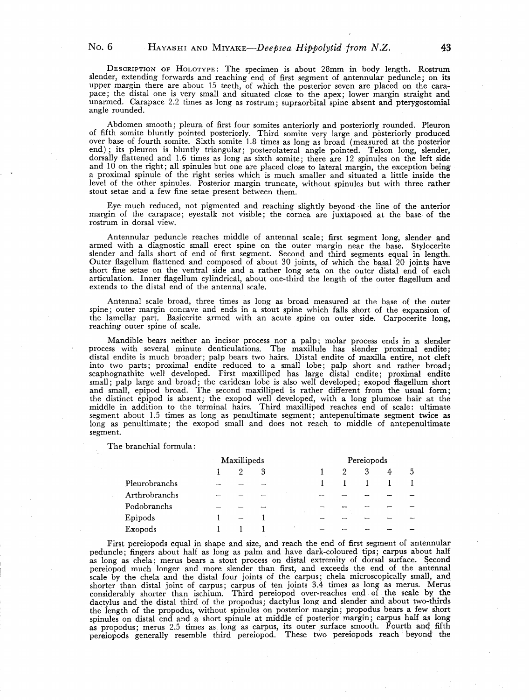DESCRIPTION OF HOLOTYPE: The specimen is about 28mm in body length. Rostrum slender, extending forwards and reaching end of first segment of antennular peduncle; on its upper margin there are about 15 teeth, of which the posterior seven are placed on the carapace; the distal one is very small and situated close to the apex; lower margin straight and unarmed. Carapace 2.2 times as long as rostrum; supraorbital spine absent and pterygostomial angle rounded.

Abdomen smooth; pleura of first four somites anteriorly and posteriorly rounded. Pleuron of fifth somite bluntly pointed posteriorly. Third somite very large and posteriorly produced over base of fourth somite. Sixth somite 1.8 times as long as broad (measured at the posterior end); its pleuron is bluntly triangular; posterolateral angle pointed. Telson long, slender, dorsally flattened and 1.6 times as long as sixth somite; there are 12 spinules on the left side and 10 on the right; all spinules but one are placed close to lateral margin, the exception being a proximal spinule of the right series which is much smaller and situated a little inside the level of the other spinules. Posterior margin truncate, without spinules but with three rather stout setae and a few fine setae present between them.

Eye much reduced, not pigmented and reaching slightly beyond the line of the anterior margin of the carapace; eyestalk not visible; the cornea are juxtaposed at the base of the rostrum in dorsal view.

Antennular peduncle reaches middle of antennal scale; first segment long, slender and armed with a diagnostic small erect spine on the outer margin near the base. Stylocerite slender and falls short of end of first segment. Second and third segments equal in length. Outer flagellum flattened and composed of about 30 joints, of which the basal 20 joints have short fine setae on the ventral side and a rather long seta on the outer distal end of each articulation. Inner flagellum cylindrical, about one-third the length of the outer flagellum and extends to the distal end of the antennal scale.

Antennal scale broad, three times as long as broad measured at the base of the outer spine; outer margin concave and ends in a stout spine which falls short of the expansion of the lamellar part. Basicerite armed with an acute spine on outer side. Carpocerite long, reaching outer spine of scale.

Mandible bears neither an incisor process nor a palp; molar process ends in a slender process with several minute denticulations. The maxillule has slender proximal endite; distal endite is much broader; palp bears two hairs. Distal endite of maxilla entire, not cleft into two parts; proximal endite reduced to a small lobe; palp short and rather broad; scaphognathite well developed. First maxilliped has large distal endite; proximal endite small; palp large and broad; the caridean lobe is also well developed; exopod flagellum short and small, epipod broad. The second maxilliped is rather different from the usual form; the distinct epipod is absent; the exopod well developed, with a long plumose hair at the middle in addition to the terminal hairs. Third maxilliped reaches end of scale: ultimate segment about 1.5 times as long as penultimate segment; antepenultimate segment twice as long as penultimate; the exopod small and does not reach to middle of antepenultimate segment.

The branchial formula:

|               | Maxillipeds |                |                          |  | Pereiopods |  |   |   |   |
|---------------|-------------|----------------|--------------------------|--|------------|--|---|---|---|
|               |             | $\overline{2}$ | 3                        |  |            |  | 3 | 4 | 5 |
| Pleurobranchs |             |                |                          |  |            |  |   |   |   |
| Arthrobranchs | --          |                | $\overline{\phantom{a}}$ |  | -          |  |   |   |   |
| Podobranchs   |             |                |                          |  |            |  |   |   |   |
| Epipods       |             | $\sim$         |                          |  |            |  |   |   |   |
| Exopods       |             |                |                          |  |            |  |   |   |   |

First pereiopods equal in shape and size, and reach the end of first segment of antennular peduncle; fingers about half as long as palm and have dark-coloured tips; carpus about half as long as chela; merus bears a stout process on distal extremity of dorsal surface. Second pereiopod much longer and more slender than first, and exceeds the end *oi* the antennal scale by the chela and the distal four joints of the carpus; chela microscopically small, and shorter than distal joint of carpus; carpus of ten joints 3.4 times as long as merus. Merus considerably shorter than ischium. Third pereiopod over-reaches end of the scale by the dactylus and the distal third of the propodus; dactylus long and slender and about two-thirds the length of the propodus, without spinules on posterior margin; propodus bears a few short spinules on distal end and a short spinule at middle of posterior margin; carpus half as long as propodus; merus 2.5 times as long as carpus, its outer surface smooth. Fourth and fifth pereiopods generally resemble third pereiopod. These two pereiopods reach beyond the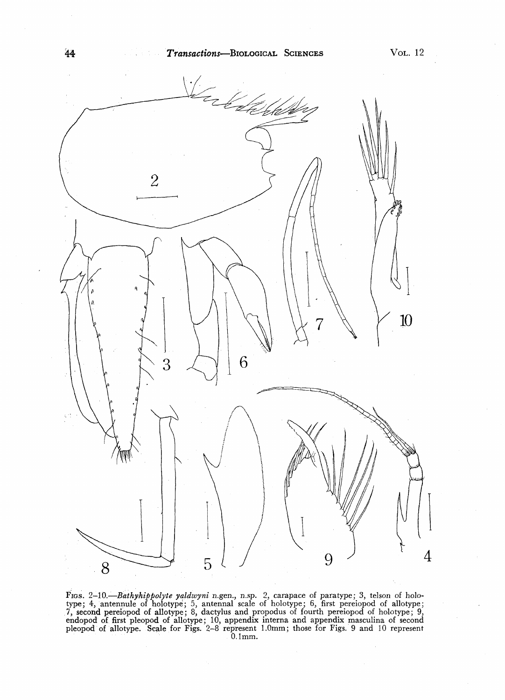

FIGS. 2-10.—*Bdthyhippolyte yaldwyni* n.gen., n.sp. *2,* carapace of paratype; 3, telson of holotype; 4, antennule of holotype; 5, antennal scale of holotype; 6, first pereiopod of allotype; 7, second pereiopod of allotype; 8, dactylus and propodus of fourth pereiopod of holotype; 9, endopod of first pleopod of allotype; 10, appendix interna and appendix masculina of second pleopod of allotype. Scale for Figs. 2-8 represent 1.0mm; those for Figs. 9 and 10 represent 0.1mm.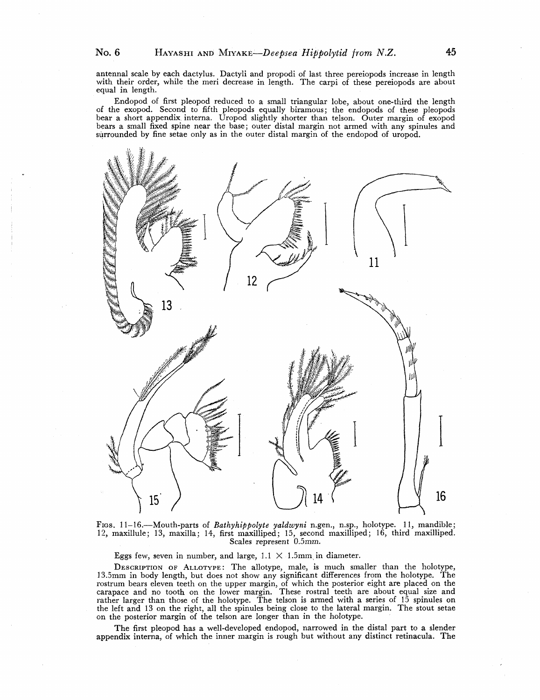antennal scale by each dactylus. Dactyli and propodi of last three pereiopods increase in length with their order, while the meri decrease in length. The carpi of these pereiopods are about equal in length.

Endopod of first pleopod reduced to a small triangular lobe, about one-third the length of the exopod. Second to fifth pleopods equally biramous; the endopods of these pleopods bear a short appendix, interna. Uropod slightly shorter than telson. Outer margin of exopod bears a small fixed spine near the base; outer distal margin not armed with any spinules and surrounded by fine setae only as in the outer distal margin of the endopod of uropod.



FIGS. 11-16.—Mouth-parts of *Bathyhippolyte yaldwyni* n.gen., n.sp., holotype. 11, mandible; 12, maxillule; 13, maxilla; 14, first maxilliped; 15, second maxilliped; 16, third maxilliped. Scales represent 0.5mm.

Eggs few, seven in number, and large,  $1.1 \times 1.5$ mm in diameter.

DESCRIPTION OF ALLOTYPE: The allotype, male, is much smaller than the holotype, 13.5mm in body length, but does not show any significant differences from the holotype. The rostrum bears eleven teeth on the upper margin, of which the posterior eight are placed on the carapace and no tooth on the lower margin. These rostral teeth are about equal size and rather larger than those of the holotype. The telson is armed with a series of 15 spinules on the left and 13 on the right, all the spinules being close to the lateral margin. The stout setae on the posterior margin of the telson are longer than in the holotype.

The first pleopod has a well-developed endopod, narrowed in the distal part to a slender appendix interna, of which the inner margin is rough but without any distinct retinacula. The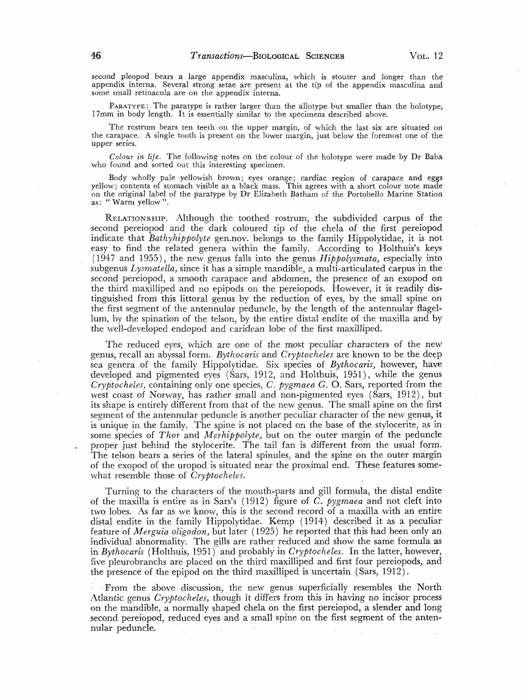second pleopod bears a large appendix masculina, which is stouter and longer than the appendix interna. Several strong setae are present at the tip of the appendix masculina and some small retinacula are on the appendix interna.

PARATYPE: The paratype is rather larger than the allotype but smaller than the holotype, 17mm in body length. It is essentially similar to the specimens described above.

The rostrum bears ten teeth on the upper margin, of which the last six are situated on the carapace. A single tooth is present on the lower margin, just below the foremost one of the upper series.

*Colour in life.* The following notes on the colour of the holotype were made by Dr Baba who found and sorted out this interesting specimen.

Body wholly pale yellowish brown; eyes orange; cardiac region of carapace and eggs yellow; contents of stomach visible as a black mass. This agrees with a short colour note made on the original label of the paratype by Dr Elizabeth Batham of the Portobello Marine Station as: " Warm yellow ".

RELATIONSHIP. Although the toothed rostrum, the subdivided carpus of the second pereiopod and the dark coloured tip of the chela of the first pereiopod indicate that *Bathyhippolyte* gen.nov. belongs to the family Hippolytidae, it is not easy to find the related genera within the family. According to Holthuis's keys (1947 and 1955), the new genus falls into the genus *Hippolysmata,* especially into subgenus *Lysmatella,* since it has a simple mandible, a multi-articulated carpus in the second pereiopod, a smooth carapace and abdomen, the presence of an exopod on the third maxilliped and no epipods on the pereiopods. However, it is readily distinguished from this littoral genus by the reduction of eyes, by the small spine on the first segment of the antennular peduncle, by the length of the antennular flagellum, by the spination of the telson, by the entire distal endite of the maxilla and by the well-developed endopod and caridean lobe of the first maxilliped.

The reduced eyes, which are one of the most peculiar characters of the new genus, recall an abyssal form. *Bythocaris* and *Cryptocheles* are known to be the deep sea genera of the family Hippolytidae. Six species of *Bythocaris,* however, have developed and pigmented eyes (Sars, 1912, and Holthuis, 1951), while the genus *Cryptocheles,* containing only one species, *C. pygmaea G.* O. Sars, reported from the west coast of Norway, has rather small and non-pigmented eyes (Sars, 1912), but its shape is entirely different from that of the new genus. The small spine on the first segment of the antennular peduncle is another peculiar character of the new genus, it is unique in the family. The spine is not placed on the base, of the stylocerite, as in some species of *Thor* and *Merhippolyte,* but on the outer margin of the peduncle proper just behind the stylocerite. The tail fan is different from the usual form. The telson bears a series of the lateral spinules, and the spine on the outer margin of the exopod of the uropod is situated near the proximal end. These features somewhat resemble those of *Cryptocheles.* 

Turning to the characters of the mouth-parts and gill formula, the distal endite of the maxilla is entire as in Sars's (1912) figure of *C. pygmaea* and not cleft into two lobes. As far as we know, this is the second record of a maxilla with an entire distal endite in the family Hippolytidae. Kemp (1914) described it as a peculiar feature of *Merguia oligodon,* but later (1925) he reported that this had been only an individual abnormality. The gills are rather reduced and show the same formula as in *Bythocaris* (Holthuis, 1951) and probably in *Cryptocheles.* In the latter, however, five pleurobranchs are placed on the third maxilliped and first four pereiopods, and the presence of the epipod on the third maxilliped is uncertain (Sars, 1912).

From the above discussion, the new genus superficially resembles the North Atlantic genus *Cryptocheles,* though it differs from this in having no incisor process on the mandible, a normally shaped chela on the first pereiopod, a slender and long second pereiopod, reduced eyes and a small spine on the first segment of the antennular peduncle.